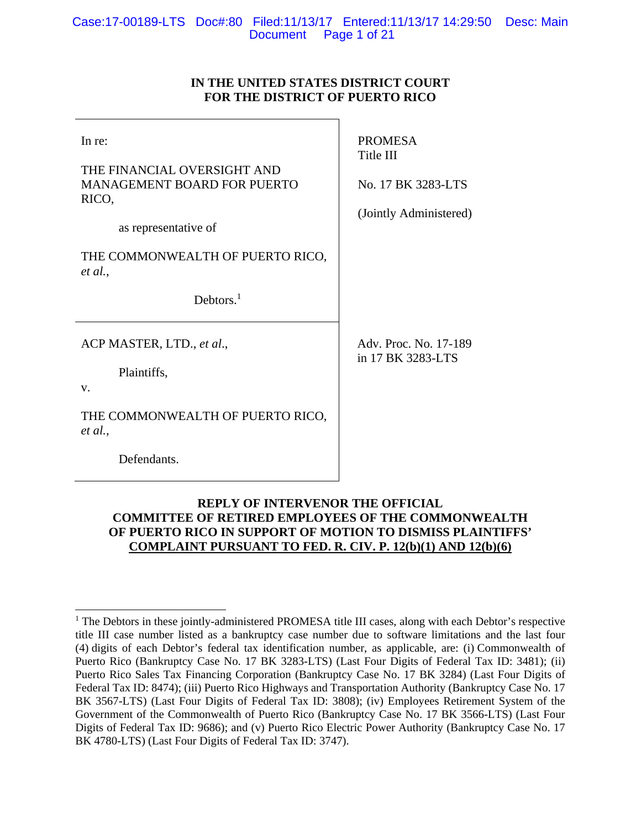# **IN THE UNITED STATES DISTRICT COURT FOR THE DISTRICT OF PUERTO RICO**

| In re:<br>THE FINANCIAL OVERSIGHT AND<br><b>MANAGEMENT BOARD FOR PUERTO</b><br>RICO,<br>as representative of | <b>PROMESA</b><br>Title III<br>No. 17 BK 3283-LTS<br>(Jointly Administered) |
|--------------------------------------------------------------------------------------------------------------|-----------------------------------------------------------------------------|
| THE COMMONWEALTH OF PUERTO RICO,<br>et al.,<br>Debtors. $1$                                                  |                                                                             |
| ACP MASTER, LTD., et al.,<br>Plaintiffs,<br>V.                                                               | Adv. Proc. No. 17-189<br>in 17 BK 3283-LTS                                  |
| THE COMMONWEALTH OF PUERTO RICO,<br>et al.,<br>Defendants.                                                   |                                                                             |

# **REPLY OF INTERVENOR THE OFFICIAL COMMITTEE OF RETIRED EMPLOYEES OF THE COMMONWEALTH OF PUERTO RICO IN SUPPORT OF MOTION TO DISMISS PLAINTIFFS' COMPLAINT PURSUANT TO FED. R. CIV. P. 12(b)(1) AND 12(b)(6)**

 $\overline{a}$ <sup>1</sup> The Debtors in these jointly-administered PROMESA title III cases, along with each Debtor's respective title III case number listed as a bankruptcy case number due to software limitations and the last four (4) digits of each Debtor's federal tax identification number, as applicable, are: (i) Commonwealth of Puerto Rico (Bankruptcy Case No. 17 BK 3283-LTS) (Last Four Digits of Federal Tax ID: 3481); (ii) Puerto Rico Sales Tax Financing Corporation (Bankruptcy Case No. 17 BK 3284) (Last Four Digits of Federal Tax ID: 8474); (iii) Puerto Rico Highways and Transportation Authority (Bankruptcy Case No. 17 BK 3567-LTS) (Last Four Digits of Federal Tax ID: 3808); (iv) Employees Retirement System of the Government of the Commonwealth of Puerto Rico (Bankruptcy Case No. 17 BK 3566-LTS) (Last Four Digits of Federal Tax ID: 9686); and (v) Puerto Rico Electric Power Authority (Bankruptcy Case No. 17 BK 4780-LTS) (Last Four Digits of Federal Tax ID: 3747).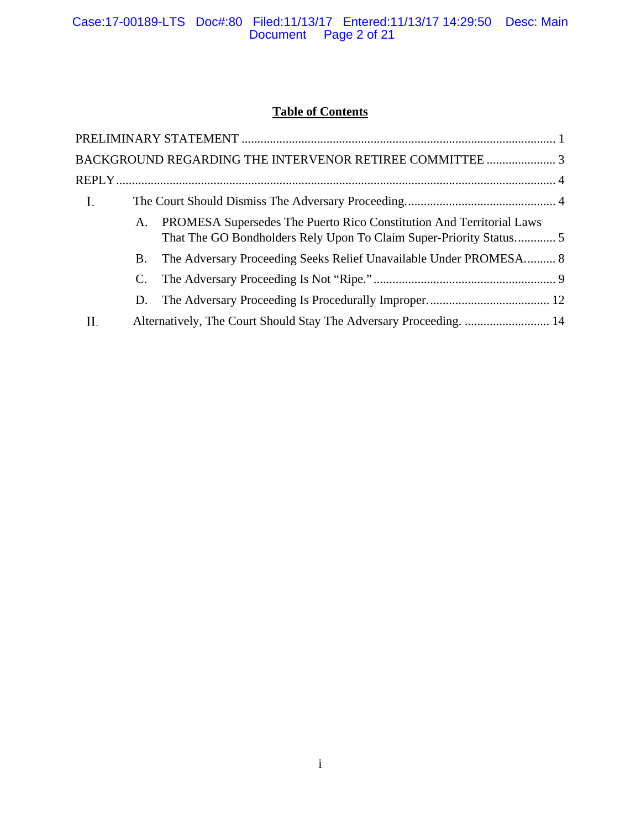# **Table of Contents**

|    |    | BACKGROUND REGARDING THE INTERVENOR RETIREE COMMITTEE  3                                                                                  |  |
|----|----|-------------------------------------------------------------------------------------------------------------------------------------------|--|
|    |    |                                                                                                                                           |  |
| I. |    |                                                                                                                                           |  |
|    | A. | PROMESA Supersedes The Puerto Rico Constitution And Territorial Laws<br>That The GO Bondholders Rely Upon To Claim Super-Priority Status5 |  |
|    | B. | The Adversary Proceeding Seeks Relief Unavailable Under PROMESA 8                                                                         |  |
|    |    |                                                                                                                                           |  |
|    | D. |                                                                                                                                           |  |
| П. |    | Alternatively, The Court Should Stay The Adversary Proceeding.  14                                                                        |  |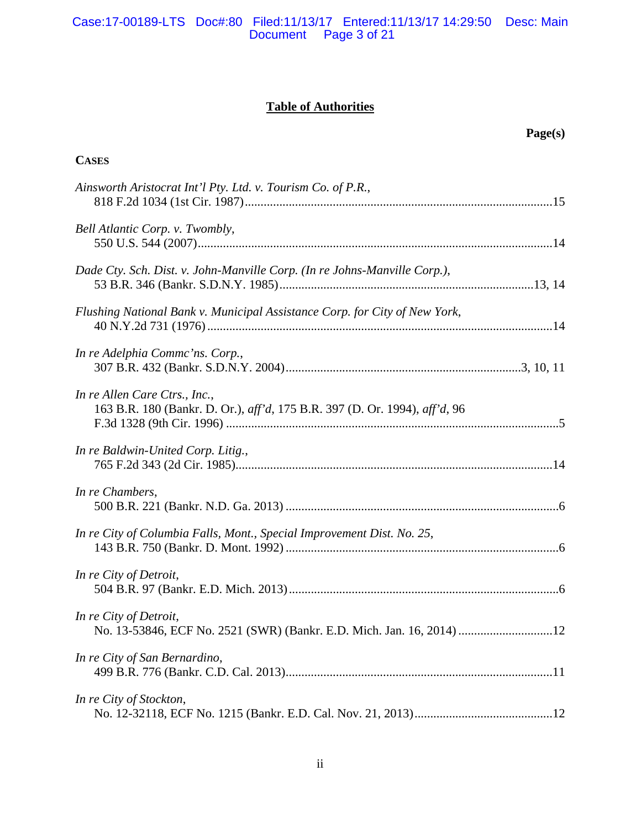# Case:17-00189-LTS Doc#:80 Filed:11/13/17 Entered:11/13/17 14:29:50 Desc: Main Document Page 3 of 21

# **Table of Authorities**

|                                                                                                             | Page(s) |
|-------------------------------------------------------------------------------------------------------------|---------|
| <b>CASES</b>                                                                                                |         |
| Ainsworth Aristocrat Int'l Pty. Ltd. v. Tourism Co. of P.R.,                                                |         |
| Bell Atlantic Corp. v. Twombly,                                                                             |         |
| Dade Cty. Sch. Dist. v. John-Manville Corp. (In re Johns-Manville Corp.),                                   |         |
| Flushing National Bank v. Municipal Assistance Corp. for City of New York,                                  |         |
| In re Adelphia Commc'ns. Corp.,                                                                             |         |
| In re Allen Care Ctrs., Inc.,<br>163 B.R. 180 (Bankr. D. Or.), aff'd, 175 B.R. 397 (D. Or. 1994), aff'd, 96 |         |
| In re Baldwin-United Corp. Litig.,                                                                          |         |
| In re Chambers,                                                                                             |         |
| In re City of Columbia Falls, Mont., Special Improvement Dist. No. 25,                                      |         |
| In re City of Detroit,                                                                                      |         |
| In re City of Detroit,<br>No. 13-53846, ECF No. 2521 (SWR) (Bankr. E.D. Mich. Jan. 16, 2014) 12             |         |
| In re City of San Bernardino,                                                                               |         |
| In re City of Stockton,                                                                                     |         |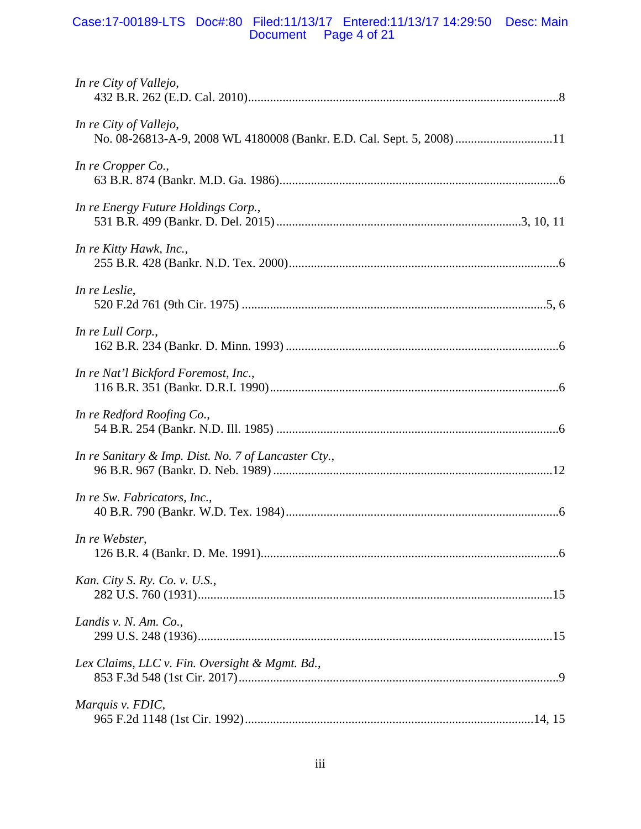# Case:17-00189-LTS Doc#:80 Filed:11/13/17 Entered:11/13/17 14:29:50 Desc: Main Document Page 4 of 21

| In re City of Vallejo,                                                                          |
|-------------------------------------------------------------------------------------------------|
| In re City of Vallejo,<br>No. 08-26813-A-9, 2008 WL 4180008 (Bankr. E.D. Cal. Sept. 5, 2008) 11 |
| In re Cropper Co.,                                                                              |
| In re Energy Future Holdings Corp.,                                                             |
| In re Kitty Hawk, Inc.,                                                                         |
| In re Leslie,                                                                                   |
| In re Lull Corp.,                                                                               |
| In re Nat'l Bickford Foremost, Inc.,                                                            |
| In re Redford Roofing Co.,                                                                      |
| In re Sanitary & Imp. Dist. No. 7 of Lancaster Cty.,                                            |
| In re Sw. Fabricators, Inc.,                                                                    |
| In re Webster,                                                                                  |
| Kan. City S. Ry. Co. v. U.S.,                                                                   |
| Landis v. N. Am. Co.,                                                                           |
| Lex Claims, LLC v. Fin. Oversight & Mgmt. Bd.,                                                  |
| Marquis v. FDIC,                                                                                |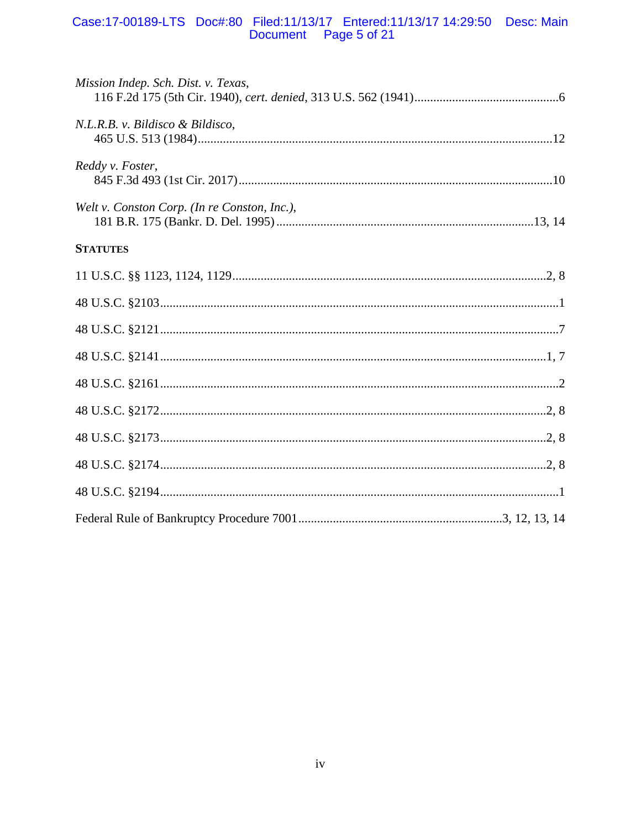# Case:17-00189-LTS Doc#:80 Filed:11/13/17 Entered:11/13/17 14:29:50 Desc: Main<br>Document Page 5 of 21

| Mission Indep. Sch. Dist. v. Texas,          |  |
|----------------------------------------------|--|
| N.L.R.B. v. Bildisco & Bildisco,             |  |
| Reddy v. Foster,                             |  |
| Welt v. Conston Corp. (In re Conston, Inc.), |  |
| <b>STATUTES</b>                              |  |
|                                              |  |
|                                              |  |
|                                              |  |
|                                              |  |
|                                              |  |
|                                              |  |
|                                              |  |
|                                              |  |
|                                              |  |
|                                              |  |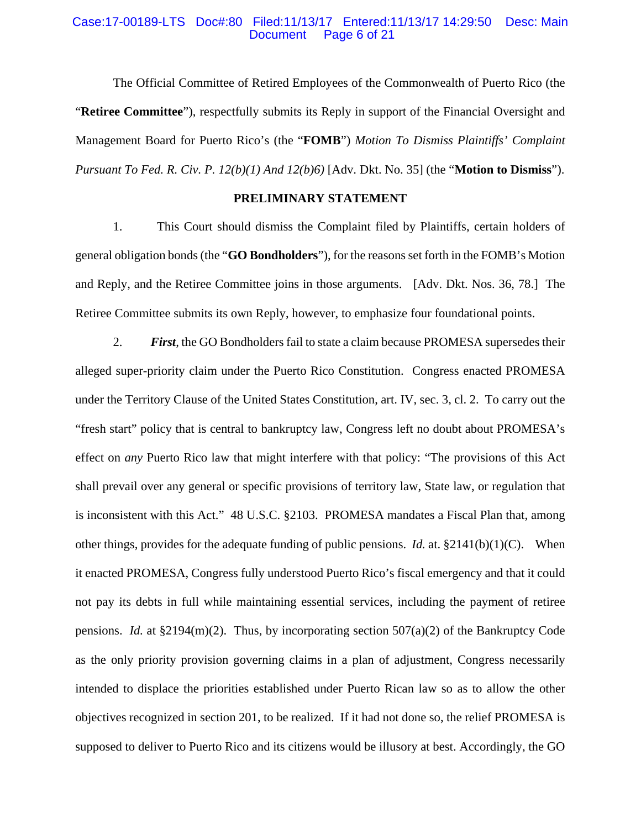#### Case:17-00189-LTS Doc#:80 Filed:11/13/17 Entered:11/13/17 14:29:50 Desc: Main Page 6 of 21

The Official Committee of Retired Employees of the Commonwealth of Puerto Rico (the "**Retiree Committee**"), respectfully submits its Reply in support of the Financial Oversight and Management Board for Puerto Rico's (the "**FOMB**") *Motion To Dismiss Plaintiffs' Complaint Pursuant To Fed. R. Civ. P. 12(b)(1) And 12(b)6)* [Adv. Dkt. No. 35] (the "**Motion to Dismiss**").

# **PRELIMINARY STATEMENT**

1. This Court should dismiss the Complaint filed by Plaintiffs, certain holders of general obligation bonds (the "**GO Bondholders**"), for the reasons set forth in the FOMB's Motion and Reply, and the Retiree Committee joins in those arguments. [Adv. Dkt. Nos. 36, 78.] The Retiree Committee submits its own Reply, however, to emphasize four foundational points.

2. *First*, the GO Bondholders fail to state a claim because PROMESA supersedes their alleged super-priority claim under the Puerto Rico Constitution. Congress enacted PROMESA under the Territory Clause of the United States Constitution, art. IV, sec. 3, cl. 2. To carry out the "fresh start" policy that is central to bankruptcy law, Congress left no doubt about PROMESA's effect on *any* Puerto Rico law that might interfere with that policy: "The provisions of this Act shall prevail over any general or specific provisions of territory law, State law, or regulation that is inconsistent with this Act." 48 U.S.C. §2103. PROMESA mandates a Fiscal Plan that, among other things, provides for the adequate funding of public pensions. *Id.* at. §2141(b)(1)(C). When it enacted PROMESA, Congress fully understood Puerto Rico's fiscal emergency and that it could not pay its debts in full while maintaining essential services, including the payment of retiree pensions. *Id.* at  $\S2194(m)(2)$ . Thus, by incorporating section 507(a)(2) of the Bankruptcy Code as the only priority provision governing claims in a plan of adjustment, Congress necessarily intended to displace the priorities established under Puerto Rican law so as to allow the other objectives recognized in section 201, to be realized. If it had not done so, the relief PROMESA is supposed to deliver to Puerto Rico and its citizens would be illusory at best. Accordingly, the GO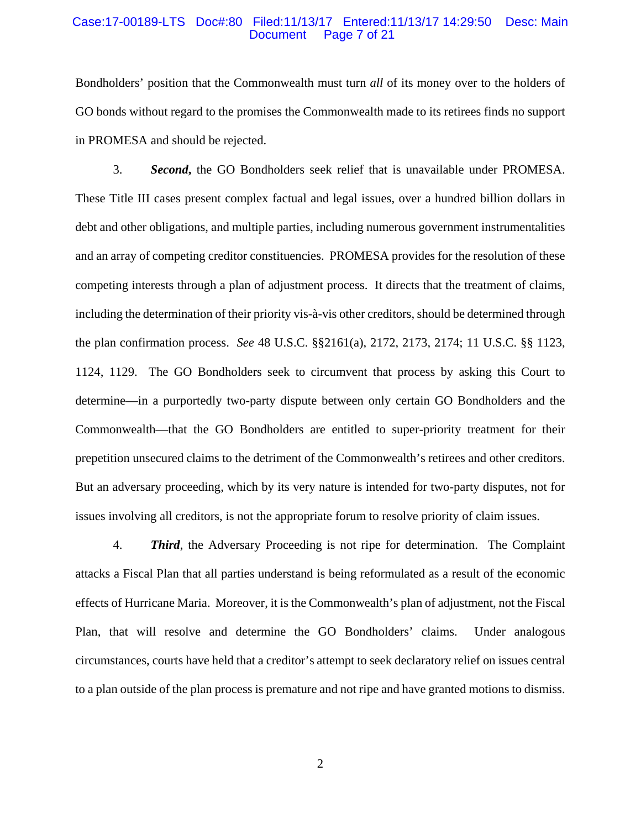#### Case:17-00189-LTS Doc#:80 Filed:11/13/17 Entered:11/13/17 14:29:50 Desc: Main Document Page 7 of 21

Bondholders' position that the Commonwealth must turn *all* of its money over to the holders of GO bonds without regard to the promises the Commonwealth made to its retirees finds no support in PROMESA and should be rejected.

3. *Second***,** the GO Bondholders seek relief that is unavailable under PROMESA. These Title III cases present complex factual and legal issues, over a hundred billion dollars in debt and other obligations, and multiple parties, including numerous government instrumentalities and an array of competing creditor constituencies. PROMESA provides for the resolution of these competing interests through a plan of adjustment process. It directs that the treatment of claims, including the determination of their priority vis-à-vis other creditors, should be determined through the plan confirmation process. *See* 48 U.S.C. §§2161(a), 2172, 2173, 2174; 11 U.S.C. §§ 1123, 1124, 1129. The GO Bondholders seek to circumvent that process by asking this Court to determine—in a purportedly two-party dispute between only certain GO Bondholders and the Commonwealth—that the GO Bondholders are entitled to super-priority treatment for their prepetition unsecured claims to the detriment of the Commonwealth's retirees and other creditors. But an adversary proceeding, which by its very nature is intended for two-party disputes, not for issues involving all creditors, is not the appropriate forum to resolve priority of claim issues.

4. *Third*, the Adversary Proceeding is not ripe for determination. The Complaint attacks a Fiscal Plan that all parties understand is being reformulated as a result of the economic effects of Hurricane Maria. Moreover, it is the Commonwealth's plan of adjustment, not the Fiscal Plan, that will resolve and determine the GO Bondholders' claims. Under analogous circumstances, courts have held that a creditor's attempt to seek declaratory relief on issues central to a plan outside of the plan process is premature and not ripe and have granted motions to dismiss.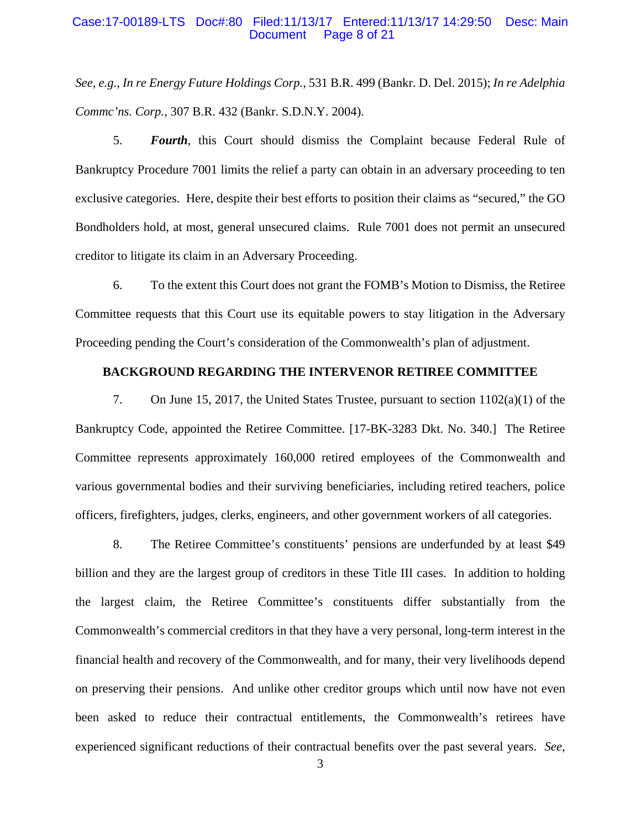#### Case:17-00189-LTS Doc#:80 Filed:11/13/17 Entered:11/13/17 14:29:50 Desc: Main Page 8 of 21

*See, e.g.*, *In re Energy Future Holdings Corp.*, 531 B.R. 499 (Bankr. D. Del. 2015); *In re Adelphia Commc'ns. Corp.*, 307 B.R. 432 (Bankr. S.D.N.Y. 2004).

5. *Fourth*, this Court should dismiss the Complaint because Federal Rule of Bankruptcy Procedure 7001 limits the relief a party can obtain in an adversary proceeding to ten exclusive categories. Here, despite their best efforts to position their claims as "secured," the GO Bondholders hold, at most, general unsecured claims. Rule 7001 does not permit an unsecured creditor to litigate its claim in an Adversary Proceeding.

6. To the extent this Court does not grant the FOMB's Motion to Dismiss, the Retiree Committee requests that this Court use its equitable powers to stay litigation in the Adversary Proceeding pending the Court's consideration of the Commonwealth's plan of adjustment.

# **BACKGROUND REGARDING THE INTERVENOR RETIREE COMMITTEE**

7. On June 15, 2017, the United States Trustee, pursuant to section 1102(a)(1) of the Bankruptcy Code, appointed the Retiree Committee. [17-BK-3283 Dkt. No. 340.] The Retiree Committee represents approximately 160,000 retired employees of the Commonwealth and various governmental bodies and their surviving beneficiaries, including retired teachers, police officers, firefighters, judges, clerks, engineers, and other government workers of all categories.

8. The Retiree Committee's constituents' pensions are underfunded by at least \$49 billion and they are the largest group of creditors in these Title III cases. In addition to holding the largest claim, the Retiree Committee's constituents differ substantially from the Commonwealth's commercial creditors in that they have a very personal, long-term interest in the financial health and recovery of the Commonwealth, and for many, their very livelihoods depend on preserving their pensions. And unlike other creditor groups which until now have not even been asked to reduce their contractual entitlements, the Commonwealth's retirees have experienced significant reductions of their contractual benefits over the past several years. *See,*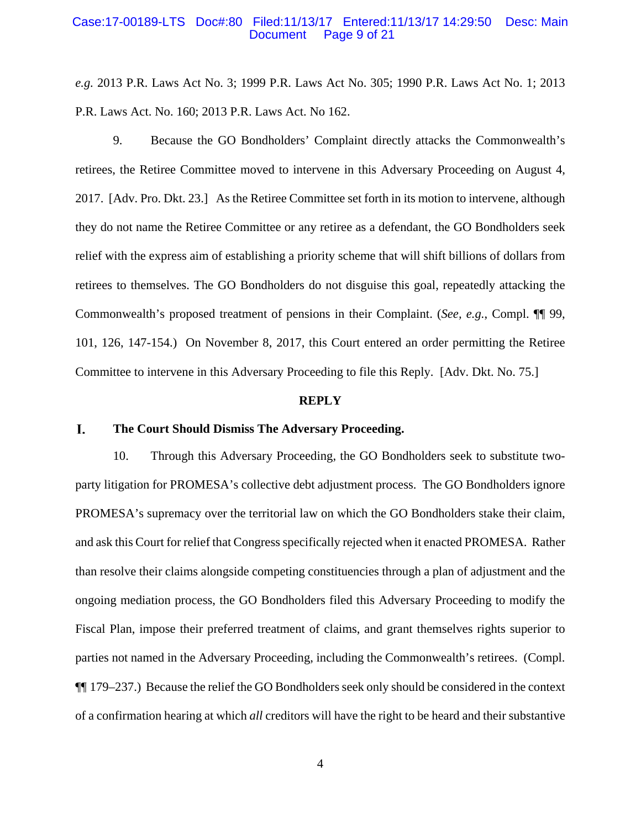#### Case:17-00189-LTS Doc#:80 Filed:11/13/17 Entered:11/13/17 14:29:50 Desc: Main Page 9 of 21

*e.g.* 2013 P.R. Laws Act No. 3; 1999 P.R. Laws Act No. 305; 1990 P.R. Laws Act No. 1; 2013 P.R. Laws Act. No. 160; 2013 P.R. Laws Act. No 162.

9. Because the GO Bondholders' Complaint directly attacks the Commonwealth's retirees, the Retiree Committee moved to intervene in this Adversary Proceeding on August 4, 2017. [Adv. Pro. Dkt. 23.] As the Retiree Committee set forth in its motion to intervene, although they do not name the Retiree Committee or any retiree as a defendant, the GO Bondholders seek relief with the express aim of establishing a priority scheme that will shift billions of dollars from retirees to themselves. The GO Bondholders do not disguise this goal, repeatedly attacking the Commonwealth's proposed treatment of pensions in their Complaint. (*See, e.g.*, Compl. ¶¶ 99, 101, 126, 147-154.) On November 8, 2017, this Court entered an order permitting the Retiree Committee to intervene in this Adversary Proceeding to file this Reply. [Adv. Dkt. No. 75.]

#### **REPLY**

#### I. **The Court Should Dismiss The Adversary Proceeding.**

10. Through this Adversary Proceeding, the GO Bondholders seek to substitute twoparty litigation for PROMESA's collective debt adjustment process. The GO Bondholders ignore PROMESA's supremacy over the territorial law on which the GO Bondholders stake their claim, and ask this Court for relief that Congress specifically rejected when it enacted PROMESA. Rather than resolve their claims alongside competing constituencies through a plan of adjustment and the ongoing mediation process, the GO Bondholders filed this Adversary Proceeding to modify the Fiscal Plan, impose their preferred treatment of claims, and grant themselves rights superior to parties not named in the Adversary Proceeding, including the Commonwealth's retirees. (Compl. ¶¶ 179–237.) Because the relief the GO Bondholders seek only should be considered in the context of a confirmation hearing at which *all* creditors will have the right to be heard and their substantive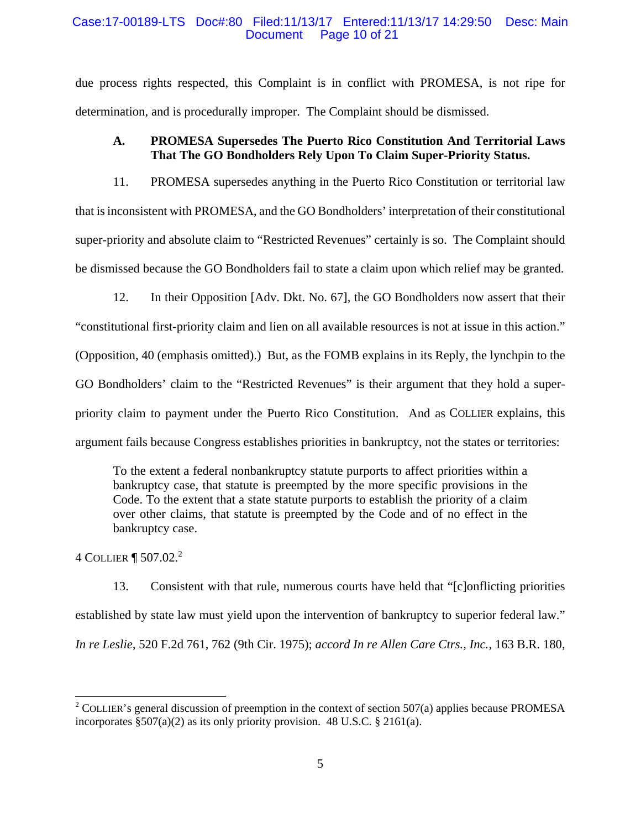### Case:17-00189-LTS Doc#:80 Filed:11/13/17 Entered:11/13/17 14:29:50 Desc: Main Document Page 10 of 21

due process rights respected, this Complaint is in conflict with PROMESA, is not ripe for determination, and is procedurally improper. The Complaint should be dismissed.

# **A. PROMESA Supersedes The Puerto Rico Constitution And Territorial Laws That The GO Bondholders Rely Upon To Claim Super-Priority Status.**

11. PROMESA supersedes anything in the Puerto Rico Constitution or territorial law that is inconsistent with PROMESA, and the GO Bondholders' interpretation of their constitutional super-priority and absolute claim to "Restricted Revenues" certainly is so. The Complaint should be dismissed because the GO Bondholders fail to state a claim upon which relief may be granted.

12. In their Opposition [Adv. Dkt. No. 67], the GO Bondholders now assert that their "constitutional first-priority claim and lien on all available resources is not at issue in this action." (Opposition, 40 (emphasis omitted).) But, as the FOMB explains in its Reply, the lynchpin to the GO Bondholders' claim to the "Restricted Revenues" is their argument that they hold a superpriority claim to payment under the Puerto Rico Constitution. And as COLLIER explains, this argument fails because Congress establishes priorities in bankruptcy, not the states or territories:

To the extent a federal nonbankruptcy statute purports to affect priorities within a bankruptcy case, that statute is preempted by the more specific provisions in the Code. To the extent that a state statute purports to establish the priority of a claim over other claims, that statute is preempted by the Code and of no effect in the bankruptcy case.

4 COLLIER **[** 507.02.<sup>2</sup>

 $\overline{a}$ 

13. Consistent with that rule, numerous courts have held that "[c]onflicting priorities established by state law must yield upon the intervention of bankruptcy to superior federal law." *In re Leslie*, 520 F.2d 761, 762 (9th Cir. 1975); *accord In re Allen Care Ctrs., Inc.*, 163 B.R. 180,

<sup>&</sup>lt;sup>2</sup> COLLIER's general discussion of preemption in the context of section 507(a) applies because PROMESA incorporates §507(a)(2) as its only priority provision. 48 U.S.C. § 2161(a).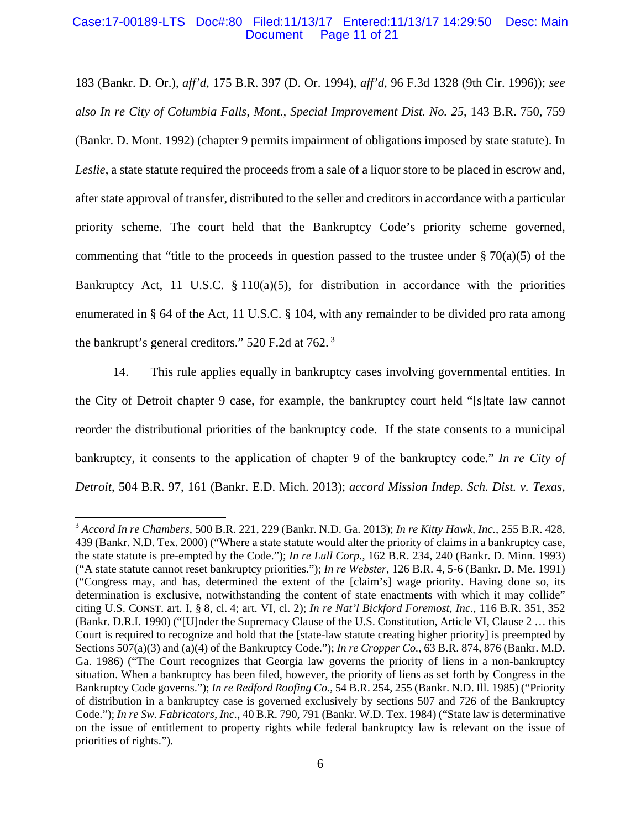#### Case:17-00189-LTS Doc#:80 Filed:11/13/17 Entered:11/13/17 14:29:50 Desc: Main Page 11 of 21

183 (Bankr. D. Or.), *aff'd*, 175 B.R. 397 (D. Or. 1994), *aff'd*, 96 F.3d 1328 (9th Cir. 1996)); *see also In re City of Columbia Falls, Mont., Special Improvement Dist. No. 25*, 143 B.R. 750, 759 (Bankr. D. Mont. 1992) (chapter 9 permits impairment of obligations imposed by state statute). In *Leslie*, a state statute required the proceeds from a sale of a liquor store to be placed in escrow and, after state approval of transfer, distributed to the seller and creditors in accordance with a particular priority scheme. The court held that the Bankruptcy Code's priority scheme governed, commenting that "title to the proceeds in question passed to the trustee under  $\S 70(a)(5)$  of the Bankruptcy Act, 11 U.S.C.  $\S$  110(a)(5), for distribution in accordance with the priorities enumerated in § 64 of the Act, 11 U.S.C. § 104, with any remainder to be divided pro rata among the bankrupt's general creditors." 520 F.2d at 762. 3

14. This rule applies equally in bankruptcy cases involving governmental entities. In the City of Detroit chapter 9 case, for example, the bankruptcy court held "[s]tate law cannot reorder the distributional priorities of the bankruptcy code. If the state consents to a municipal bankruptcy, it consents to the application of chapter 9 of the bankruptcy code." *In re City of Detroit*, 504 B.R. 97, 161 (Bankr. E.D. Mich. 2013); *accord Mission Indep. Sch. Dist. v. Texas*,

 $\overline{a}$ 

<sup>3</sup> *Accord In re Chambers*, 500 B.R. 221, 229 (Bankr. N.D. Ga. 2013); *In re Kitty Hawk, Inc.*, 255 B.R. 428, 439 (Bankr. N.D. Tex. 2000) ("Where a state statute would alter the priority of claims in a bankruptcy case, the state statute is pre-empted by the Code."); *In re Lull Corp.*, 162 B.R. 234, 240 (Bankr. D. Minn. 1993) ("A state statute cannot reset bankruptcy priorities."); *In re Webster*, 126 B.R. 4, 5-6 (Bankr. D. Me. 1991) ("Congress may, and has, determined the extent of the [claim's] wage priority. Having done so, its determination is exclusive, notwithstanding the content of state enactments with which it may collide" citing U.S. CONST. art. I, § 8, cl. 4; art. VI, cl. 2); *In re Nat'l Bickford Foremost, Inc.*, 116 B.R. 351, 352 (Bankr. D.R.I. 1990) ("[U]nder the Supremacy Clause of the U.S. Constitution, Article VI, Clause 2 … this Court is required to recognize and hold that the [state-law statute creating higher priority] is preempted by Sections 507(a)(3) and (a)(4) of the Bankruptcy Code."); *In re Cropper Co.*, 63 B.R. 874, 876 (Bankr. M.D. Ga. 1986) ("The Court recognizes that Georgia law governs the priority of liens in a non-bankruptcy situation. When a bankruptcy has been filed, however, the priority of liens as set forth by Congress in the Bankruptcy Code governs."); *In re Redford Roofing Co.*, 54 B.R. 254, 255 (Bankr. N.D. Ill. 1985) ("Priority of distribution in a bankruptcy case is governed exclusively by sections 507 and 726 of the Bankruptcy Code."); *In re Sw. Fabricators, Inc.*, 40 B.R. 790, 791 (Bankr. W.D. Tex. 1984) ("State law is determinative on the issue of entitlement to property rights while federal bankruptcy law is relevant on the issue of priorities of rights.").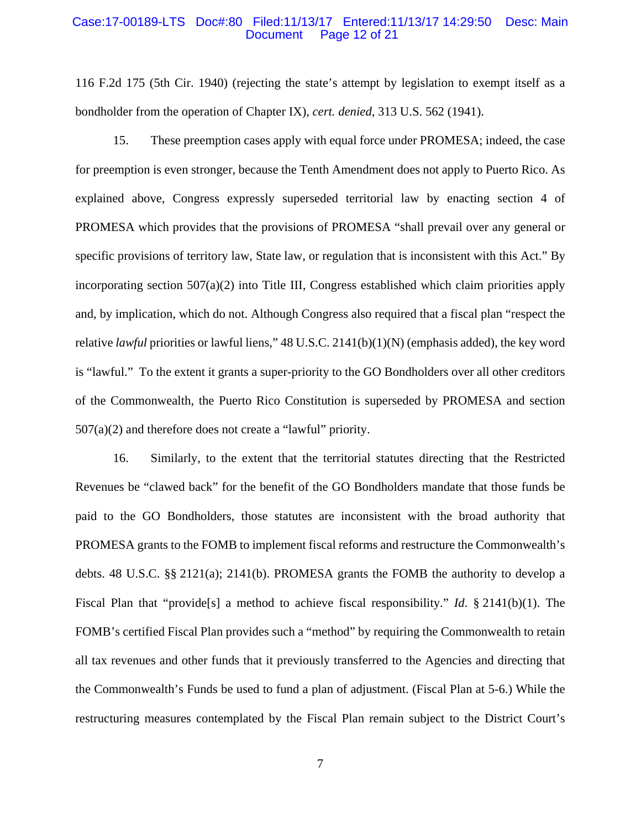#### Case:17-00189-LTS Doc#:80 Filed:11/13/17 Entered:11/13/17 14:29:50 Desc: Main Document Page 12 of 21

116 F.2d 175 (5th Cir. 1940) (rejecting the state's attempt by legislation to exempt itself as a bondholder from the operation of Chapter IX), *cert. denied*, 313 U.S. 562 (1941).

15. These preemption cases apply with equal force under PROMESA; indeed, the case for preemption is even stronger, because the Tenth Amendment does not apply to Puerto Rico. As explained above, Congress expressly superseded territorial law by enacting section 4 of PROMESA which provides that the provisions of PROMESA "shall prevail over any general or specific provisions of territory law, State law, or regulation that is inconsistent with this Act." By incorporating section 507(a)(2) into Title III, Congress established which claim priorities apply and, by implication, which do not. Although Congress also required that a fiscal plan "respect the relative *lawful* priorities or lawful liens," 48 U.S.C. 2141(b)(1)(N) (emphasis added), the key word is "lawful." To the extent it grants a super-priority to the GO Bondholders over all other creditors of the Commonwealth, the Puerto Rico Constitution is superseded by PROMESA and section 507(a)(2) and therefore does not create a "lawful" priority.

16. Similarly, to the extent that the territorial statutes directing that the Restricted Revenues be "clawed back" for the benefit of the GO Bondholders mandate that those funds be paid to the GO Bondholders, those statutes are inconsistent with the broad authority that PROMESA grants to the FOMB to implement fiscal reforms and restructure the Commonwealth's debts. 48 U.S.C. §§ 2121(a); 2141(b). PROMESA grants the FOMB the authority to develop a Fiscal Plan that "provide[s] a method to achieve fiscal responsibility." *Id*. § 2141(b)(1). The FOMB's certified Fiscal Plan provides such a "method" by requiring the Commonwealth to retain all tax revenues and other funds that it previously transferred to the Agencies and directing that the Commonwealth's Funds be used to fund a plan of adjustment. (Fiscal Plan at 5-6.) While the restructuring measures contemplated by the Fiscal Plan remain subject to the District Court's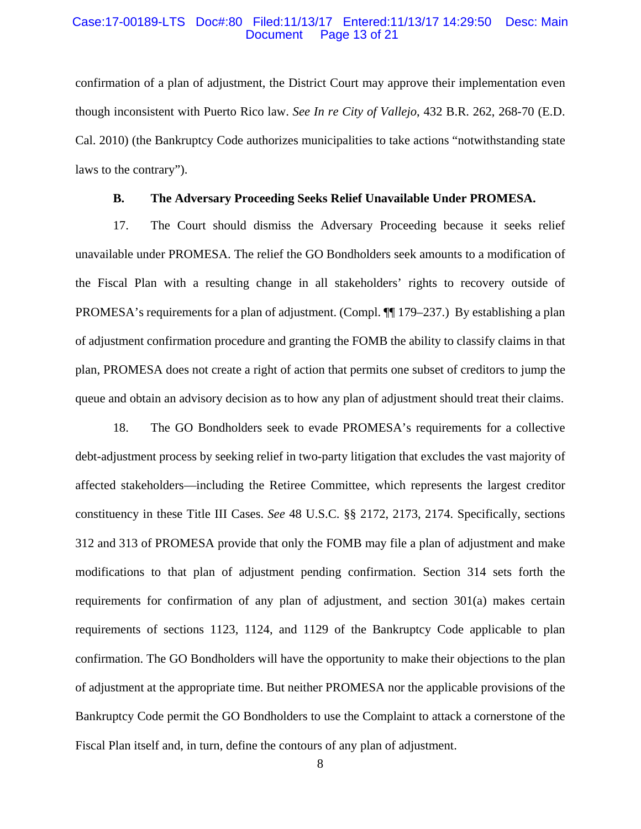#### Case:17-00189-LTS Doc#:80 Filed:11/13/17 Entered:11/13/17 14:29:50 Desc: Main Page 13 of 21

confirmation of a plan of adjustment, the District Court may approve their implementation even though inconsistent with Puerto Rico law. *See In re City of Vallejo*, 432 B.R. 262, 268-70 (E.D. Cal. 2010) (the Bankruptcy Code authorizes municipalities to take actions "notwithstanding state laws to the contrary").

## **B. The Adversary Proceeding Seeks Relief Unavailable Under PROMESA.**

17. The Court should dismiss the Adversary Proceeding because it seeks relief unavailable under PROMESA. The relief the GO Bondholders seek amounts to a modification of the Fiscal Plan with a resulting change in all stakeholders' rights to recovery outside of PROMESA's requirements for a plan of adjustment. (Compl. ¶¶ 179–237.) By establishing a plan of adjustment confirmation procedure and granting the FOMB the ability to classify claims in that plan, PROMESA does not create a right of action that permits one subset of creditors to jump the queue and obtain an advisory decision as to how any plan of adjustment should treat their claims.

18. The GO Bondholders seek to evade PROMESA's requirements for a collective debt-adjustment process by seeking relief in two-party litigation that excludes the vast majority of affected stakeholders—including the Retiree Committee, which represents the largest creditor constituency in these Title III Cases. *See* 48 U.S.C. §§ 2172, 2173, 2174. Specifically, sections 312 and 313 of PROMESA provide that only the FOMB may file a plan of adjustment and make modifications to that plan of adjustment pending confirmation. Section 314 sets forth the requirements for confirmation of any plan of adjustment, and section 301(a) makes certain requirements of sections 1123, 1124, and 1129 of the Bankruptcy Code applicable to plan confirmation. The GO Bondholders will have the opportunity to make their objections to the plan of adjustment at the appropriate time. But neither PROMESA nor the applicable provisions of the Bankruptcy Code permit the GO Bondholders to use the Complaint to attack a cornerstone of the Fiscal Plan itself and, in turn, define the contours of any plan of adjustment.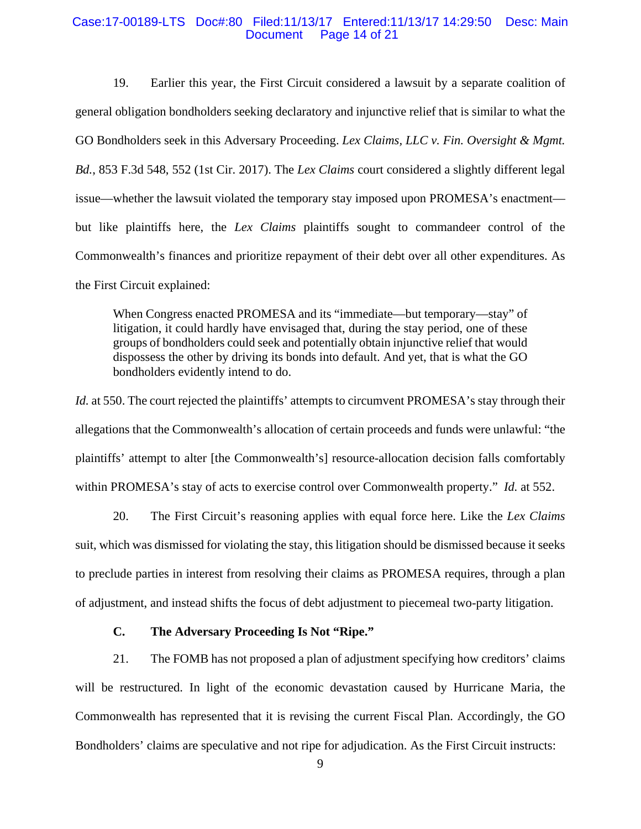#### Case:17-00189-LTS Doc#:80 Filed:11/13/17 Entered:11/13/17 14:29:50 Desc: Main Document Page 14 of 21

19. Earlier this year, the First Circuit considered a lawsuit by a separate coalition of general obligation bondholders seeking declaratory and injunctive relief that is similar to what the GO Bondholders seek in this Adversary Proceeding. *Lex Claims, LLC v. Fin. Oversight & Mgmt. Bd.*, 853 F.3d 548, 552 (1st Cir. 2017). The *Lex Claims* court considered a slightly different legal issue—whether the lawsuit violated the temporary stay imposed upon PROMESA's enactment but like plaintiffs here, the *Lex Claims* plaintiffs sought to commandeer control of the Commonwealth's finances and prioritize repayment of their debt over all other expenditures. As the First Circuit explained:

When Congress enacted PROMESA and its "immediate—but temporary—stay" of litigation, it could hardly have envisaged that, during the stay period, one of these groups of bondholders could seek and potentially obtain injunctive relief that would dispossess the other by driving its bonds into default. And yet, that is what the GO bondholders evidently intend to do.

*Id.* at 550. The court rejected the plaintiffs' attempts to circumvent PROMESA's stay through their allegations that the Commonwealth's allocation of certain proceeds and funds were unlawful: "the plaintiffs' attempt to alter [the Commonwealth's] resource-allocation decision falls comfortably within PROMESA's stay of acts to exercise control over Commonwealth property." *Id.* at 552.

20. The First Circuit's reasoning applies with equal force here. Like the *Lex Claims* suit, which was dismissed for violating the stay, this litigation should be dismissed because it seeks to preclude parties in interest from resolving their claims as PROMESA requires, through a plan of adjustment, and instead shifts the focus of debt adjustment to piecemeal two-party litigation.

#### **C. The Adversary Proceeding Is Not "Ripe."**

21. The FOMB has not proposed a plan of adjustment specifying how creditors' claims will be restructured. In light of the economic devastation caused by Hurricane Maria, the Commonwealth has represented that it is revising the current Fiscal Plan. Accordingly, the GO Bondholders' claims are speculative and not ripe for adjudication. As the First Circuit instructs: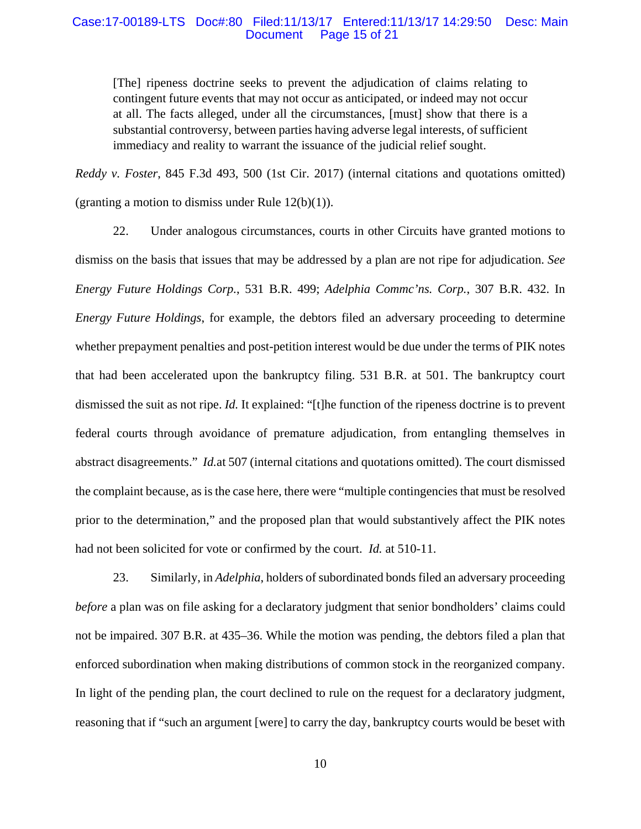#### Case:17-00189-LTS Doc#:80 Filed:11/13/17 Entered:11/13/17 14:29:50 Desc: Main Document Page 15 of 21

[The] ripeness doctrine seeks to prevent the adjudication of claims relating to contingent future events that may not occur as anticipated, or indeed may not occur at all. The facts alleged, under all the circumstances, [must] show that there is a substantial controversy, between parties having adverse legal interests, of sufficient immediacy and reality to warrant the issuance of the judicial relief sought.

*Reddy v. Foster*, 845 F.3d 493, 500 (1st Cir. 2017) (internal citations and quotations omitted) (granting a motion to dismiss under Rule  $12(b)(1)$ ).

22. Under analogous circumstances, courts in other Circuits have granted motions to dismiss on the basis that issues that may be addressed by a plan are not ripe for adjudication. *See Energy Future Holdings Corp.*, 531 B.R. 499; *Adelphia Commc'ns. Corp.*, 307 B.R. 432. In *Energy Future Holdings*, for example, the debtors filed an adversary proceeding to determine whether prepayment penalties and post-petition interest would be due under the terms of PIK notes that had been accelerated upon the bankruptcy filing. 531 B.R. at 501. The bankruptcy court dismissed the suit as not ripe. *Id.* It explained: "[t]he function of the ripeness doctrine is to prevent federal courts through avoidance of premature adjudication, from entangling themselves in abstract disagreements." *Id.*at 507 (internal citations and quotations omitted). The court dismissed the complaint because, as is the case here, there were "multiple contingencies that must be resolved prior to the determination," and the proposed plan that would substantively affect the PIK notes had not been solicited for vote or confirmed by the court. *Id.* at 510-11.

23. Similarly, in *Adelphia*, holders of subordinated bonds filed an adversary proceeding *before* a plan was on file asking for a declaratory judgment that senior bondholders' claims could not be impaired. 307 B.R. at 435–36. While the motion was pending, the debtors filed a plan that enforced subordination when making distributions of common stock in the reorganized company. In light of the pending plan, the court declined to rule on the request for a declaratory judgment, reasoning that if "such an argument [were] to carry the day, bankruptcy courts would be beset with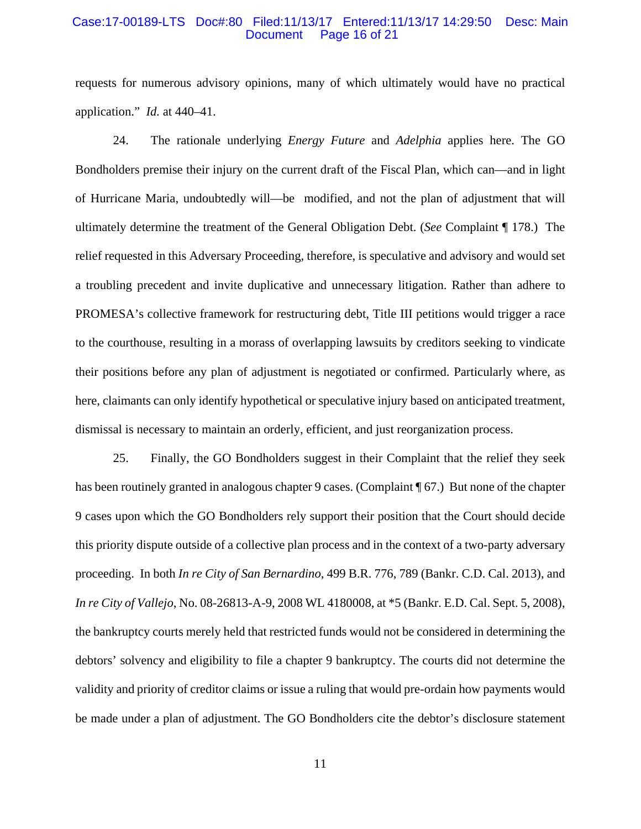#### Case:17-00189-LTS Doc#:80 Filed:11/13/17 Entered:11/13/17 14:29:50 Desc: Main Document Page 16 of 21

requests for numerous advisory opinions, many of which ultimately would have no practical application." *Id.* at 440–41.

24. The rationale underlying *Energy Future* and *Adelphia* applies here. The GO Bondholders premise their injury on the current draft of the Fiscal Plan, which can—and in light of Hurricane Maria, undoubtedly will—be modified, and not the plan of adjustment that will ultimately determine the treatment of the General Obligation Debt. (*See* Complaint ¶ 178.) The relief requested in this Adversary Proceeding, therefore, is speculative and advisory and would set a troubling precedent and invite duplicative and unnecessary litigation. Rather than adhere to PROMESA's collective framework for restructuring debt, Title III petitions would trigger a race to the courthouse, resulting in a morass of overlapping lawsuits by creditors seeking to vindicate their positions before any plan of adjustment is negotiated or confirmed. Particularly where, as here, claimants can only identify hypothetical or speculative injury based on anticipated treatment, dismissal is necessary to maintain an orderly, efficient, and just reorganization process.

25. Finally, the GO Bondholders suggest in their Complaint that the relief they seek has been routinely granted in analogous chapter 9 cases. (Complaint ¶ 67.) But none of the chapter 9 cases upon which the GO Bondholders rely support their position that the Court should decide this priority dispute outside of a collective plan process and in the context of a two-party adversary proceeding. In both *In re City of San Bernardino*, 499 B.R. 776, 789 (Bankr. C.D. Cal. 2013), and *In re City of Vallejo*, No. 08-26813-A-9, 2008 WL 4180008, at \*5 (Bankr. E.D. Cal. Sept. 5, 2008), the bankruptcy courts merely held that restricted funds would not be considered in determining the debtors' solvency and eligibility to file a chapter 9 bankruptcy. The courts did not determine the validity and priority of creditor claims or issue a ruling that would pre-ordain how payments would be made under a plan of adjustment. The GO Bondholders cite the debtor's disclosure statement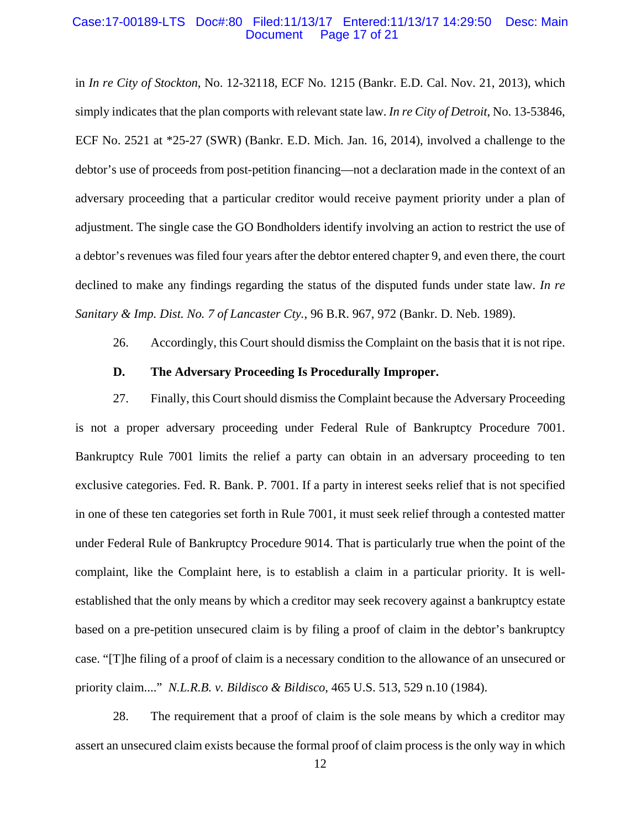#### Case:17-00189-LTS Doc#:80 Filed:11/13/17 Entered:11/13/17 14:29:50 Desc: Main Page 17 of 21

in *In re City of Stockton*, No. 12-32118, ECF No. 1215 (Bankr. E.D. Cal. Nov. 21, 2013), which simply indicates that the plan comports with relevant state law. *In re City of Detroit*, No. 13-53846, ECF No. 2521 at \*25-27 (SWR) (Bankr. E.D. Mich. Jan. 16, 2014), involved a challenge to the debtor's use of proceeds from post-petition financing—not a declaration made in the context of an adversary proceeding that a particular creditor would receive payment priority under a plan of adjustment. The single case the GO Bondholders identify involving an action to restrict the use of a debtor's revenues was filed four years after the debtor entered chapter 9, and even there, the court declined to make any findings regarding the status of the disputed funds under state law. *In re Sanitary & Imp. Dist. No. 7 of Lancaster Cty.*, 96 B.R. 967, 972 (Bankr. D. Neb. 1989).

26. Accordingly, this Court should dismiss the Complaint on the basis that it is not ripe.

#### **D. The Adversary Proceeding Is Procedurally Improper.**

27. Finally, this Court should dismiss the Complaint because the Adversary Proceeding is not a proper adversary proceeding under Federal Rule of Bankruptcy Procedure 7001. Bankruptcy Rule 7001 limits the relief a party can obtain in an adversary proceeding to ten exclusive categories. Fed. R. Bank. P. 7001. If a party in interest seeks relief that is not specified in one of these ten categories set forth in Rule 7001, it must seek relief through a contested matter under Federal Rule of Bankruptcy Procedure 9014. That is particularly true when the point of the complaint, like the Complaint here, is to establish a claim in a particular priority. It is wellestablished that the only means by which a creditor may seek recovery against a bankruptcy estate based on a pre-petition unsecured claim is by filing a proof of claim in the debtor's bankruptcy case. "[T]he filing of a proof of claim is a necessary condition to the allowance of an unsecured or priority claim...." *N.L.R.B. v. Bildisco & Bildisco*, 465 U.S. 513, 529 n.10 (1984).

28. The requirement that a proof of claim is the sole means by which a creditor may assert an unsecured claim exists because the formal proof of claim process is the only way in which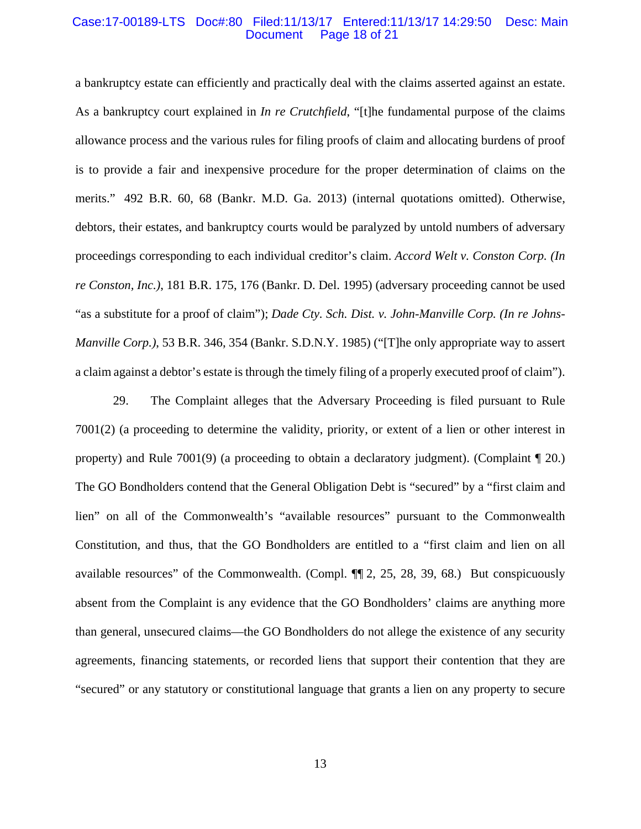#### Case:17-00189-LTS Doc#:80 Filed:11/13/17 Entered:11/13/17 14:29:50 Desc: Main Document Page 18 of 21

a bankruptcy estate can efficiently and practically deal with the claims asserted against an estate. As a bankruptcy court explained in *In re Crutchfield*, "[t]he fundamental purpose of the claims allowance process and the various rules for filing proofs of claim and allocating burdens of proof is to provide a fair and inexpensive procedure for the proper determination of claims on the merits." 492 B.R. 60, 68 (Bankr. M.D. Ga. 2013) (internal quotations omitted). Otherwise, debtors, their estates, and bankruptcy courts would be paralyzed by untold numbers of adversary proceedings corresponding to each individual creditor's claim. *Accord Welt v. Conston Corp. (In re Conston, Inc.)*, 181 B.R. 175, 176 (Bankr. D. Del. 1995) (adversary proceeding cannot be used "as a substitute for a proof of claim"); *Dade Cty. Sch. Dist. v. John-Manville Corp. (In re Johns-Manville Corp.)*, 53 B.R. 346, 354 (Bankr. S.D.N.Y. 1985) ("[T]he only appropriate way to assert a claim against a debtor's estate is through the timely filing of a properly executed proof of claim").

29. The Complaint alleges that the Adversary Proceeding is filed pursuant to Rule 7001(2) (a proceeding to determine the validity, priority, or extent of a lien or other interest in property) and Rule 7001(9) (a proceeding to obtain a declaratory judgment). (Complaint ¶ 20.) The GO Bondholders contend that the General Obligation Debt is "secured" by a "first claim and lien" on all of the Commonwealth's "available resources" pursuant to the Commonwealth Constitution, and thus, that the GO Bondholders are entitled to a "first claim and lien on all available resources" of the Commonwealth. (Compl. ¶¶ 2, 25, 28, 39, 68.) But conspicuously absent from the Complaint is any evidence that the GO Bondholders' claims are anything more than general, unsecured claims—the GO Bondholders do not allege the existence of any security agreements, financing statements, or recorded liens that support their contention that they are "secured" or any statutory or constitutional language that grants a lien on any property to secure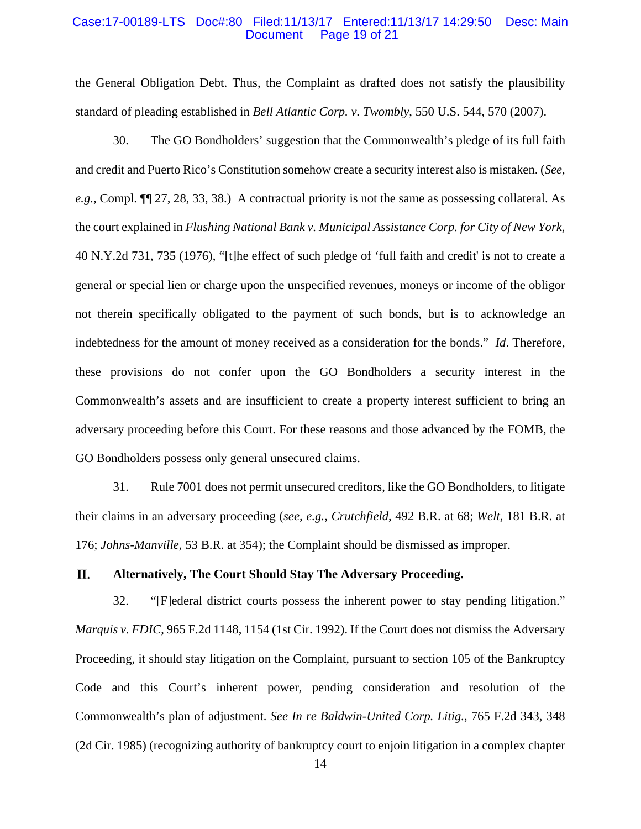#### Case:17-00189-LTS Doc#:80 Filed:11/13/17 Entered:11/13/17 14:29:50 Desc: Main Page 19 of 21

the General Obligation Debt. Thus, the Complaint as drafted does not satisfy the plausibility standard of pleading established in *Bell Atlantic Corp. v. Twombly*, 550 U.S. 544, 570 (2007).

30. The GO Bondholders' suggestion that the Commonwealth's pledge of its full faith and credit and Puerto Rico's Constitution somehow create a security interest also is mistaken. (*See, e.g.*, Compl. ¶¶ 27, 28, 33, 38.) A contractual priority is not the same as possessing collateral. As the court explained in *Flushing National Bank v. Municipal Assistance Corp. for City of New York*, 40 N.Y.2d 731, 735 (1976), "[t]he effect of such pledge of 'full faith and credit' is not to create a general or special lien or charge upon the unspecified revenues, moneys or income of the obligor not therein specifically obligated to the payment of such bonds, but is to acknowledge an indebtedness for the amount of money received as a consideration for the bonds." *Id*. Therefore, these provisions do not confer upon the GO Bondholders a security interest in the Commonwealth's assets and are insufficient to create a property interest sufficient to bring an adversary proceeding before this Court. For these reasons and those advanced by the FOMB, the GO Bondholders possess only general unsecured claims.

31. Rule 7001 does not permit unsecured creditors, like the GO Bondholders, to litigate their claims in an adversary proceeding (*see, e.g.*, *Crutchfield*, 492 B.R. at 68; *Welt*, 181 B.R. at 176; *Johns-Manville*, 53 B.R. at 354); the Complaint should be dismissed as improper.

#### П. **Alternatively, The Court Should Stay The Adversary Proceeding.**

32. "[F]ederal district courts possess the inherent power to stay pending litigation." *Marquis v. FDIC*, 965 F.2d 1148, 1154 (1st Cir. 1992). If the Court does not dismiss the Adversary Proceeding, it should stay litigation on the Complaint, pursuant to section 105 of the Bankruptcy Code and this Court's inherent power, pending consideration and resolution of the Commonwealth's plan of adjustment. *See In re Baldwin-United Corp. Litig.*, 765 F.2d 343, 348 (2d Cir. 1985) (recognizing authority of bankruptcy court to enjoin litigation in a complex chapter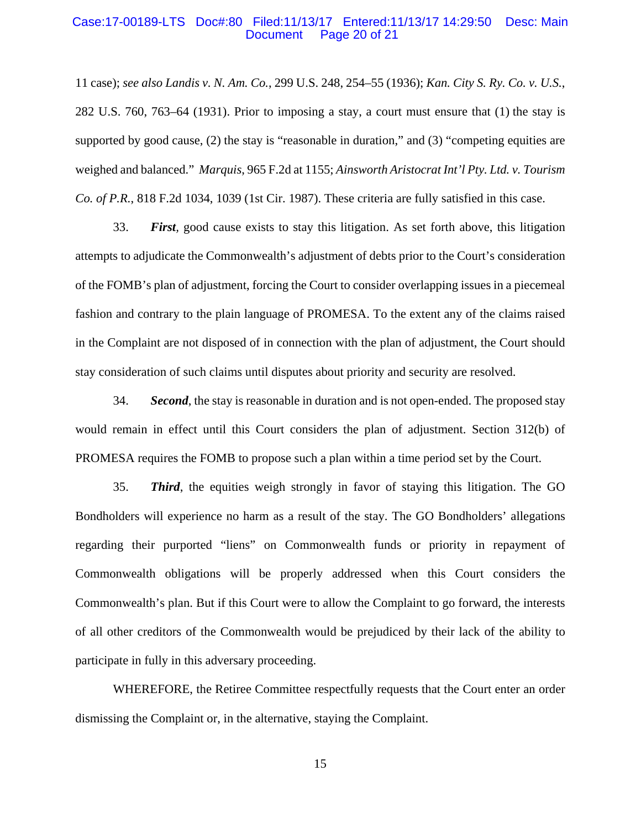#### Case:17-00189-LTS Doc#:80 Filed:11/13/17 Entered:11/13/17 14:29:50 Desc: Main Document Page 20 of 21

11 case); *see also Landis v. N. Am. Co.*, 299 U.S. 248, 254–55 (1936); *Kan. City S. Ry. Co. v. U.S.*, 282 U.S. 760, 763–64 (1931). Prior to imposing a stay, a court must ensure that (1) the stay is supported by good cause, (2) the stay is "reasonable in duration," and (3) "competing equities are weighed and balanced." *Marquis*, 965 F.2d at 1155; *Ainsworth Aristocrat Int'l Pty. Ltd. v. Tourism Co. of P.R.*, 818 F.2d 1034, 1039 (1st Cir. 1987). These criteria are fully satisfied in this case.

33. *First,* good cause exists to stay this litigation. As set forth above, this litigation attempts to adjudicate the Commonwealth's adjustment of debts prior to the Court's consideration of the FOMB's plan of adjustment, forcing the Court to consider overlapping issues in a piecemeal fashion and contrary to the plain language of PROMESA. To the extent any of the claims raised in the Complaint are not disposed of in connection with the plan of adjustment, the Court should stay consideration of such claims until disputes about priority and security are resolved.

34. *Second*, the stay is reasonable in duration and is not open-ended. The proposed stay would remain in effect until this Court considers the plan of adjustment. Section 312(b) of PROMESA requires the FOMB to propose such a plan within a time period set by the Court.

35. *Third*, the equities weigh strongly in favor of staying this litigation. The GO Bondholders will experience no harm as a result of the stay. The GO Bondholders' allegations regarding their purported "liens" on Commonwealth funds or priority in repayment of Commonwealth obligations will be properly addressed when this Court considers the Commonwealth's plan. But if this Court were to allow the Complaint to go forward, the interests of all other creditors of the Commonwealth would be prejudiced by their lack of the ability to participate in fully in this adversary proceeding.

WHEREFORE, the Retiree Committee respectfully requests that the Court enter an order dismissing the Complaint or, in the alternative, staying the Complaint.